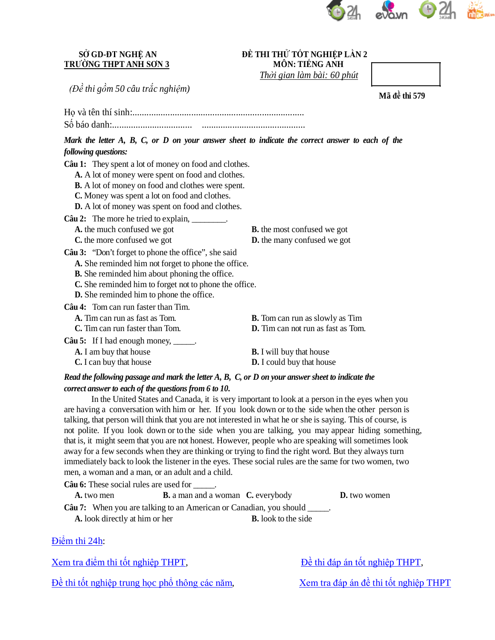

### **SỞ GD-ĐT NGHỆ AN TRƯỜNG THPT ANH SƠN 3**

#### **ĐỀ THI THỬ TỐT NGHIỆP LẦN 2 MÔN: TIẾNG ANH**

*Thời gian làm bài: 60 phút*

*(Đề thi gồm 50 câu trắc nghiệm)*

Họ và tên thí sinh:.........................................................................

Số báo danh:.................................. ............................................

Mark the letter A, B, C, or D on your answer sheet to indicate the correct answer to each of the *following questions:*

**Câu 1:** They spent a lot of money on food and clothes. **A.** A lot of money were spent on food and clothes. **B.** A lot of money on food and clothes were spent. **C.** Money was spent a lot on food and clothes. **D.** A lot of money was spent on food and clothes. **Câu 2:** The more he tried to explain, **A.** the much confused we got **B.** the most confused we got **C.** the more confused we got **D.** the many confused we got **Câu 3:** "Don't forget to phone the office", she said **A.** She reminded him not forget to phone the office. **B.** She reminded him about phoning the office. **C.** She reminded him to forget not to phone the office. **D.** She reminded him to phone the office. **Câu 4:** Tom can run faster than Tim. **A.** Tim can run as fast as Tom. **B.** Tom can run as slowly as Tim **C.** Tim can run faster than Tom. **D.** Tim can not run as fast as Tom. **Câu 5:** If I had enough money, \_\_\_\_\_. **A.** I am buy that house **B.** I will buy that house **C.** I can buy that house **D.** I could buy that house

## Read the following passage and mark the letter  $A, B, C, or D$  on your answer sheet to indicate the *correct answer to each of the questions from 6 to 10.*

In the United States and Canada, it is very important to look at a person in the eyes when you are having a conversation with him or her. If you look down or to the side when the other person is talking, that person will think that you are not interested in what he or she is saying. This of course, is not polite. If you look down or to the side when you are talking, you may appear hiding something, that is, it might seem that you are not honest. However, people who are speaking will sometimes look away for a few seconds when they are thinking or trying to find the right word. But they always turn immediately back to look the listener in the eyes. These social rules are the same for two women, two men, a woman and a man, or an adult and a child.

| <b>Câu 6:</b> These social rules are used for                                    |                                                 |                     |  |
|----------------------------------------------------------------------------------|-------------------------------------------------|---------------------|--|
| A. two men                                                                       | <b>B.</b> a man and a woman <b>C.</b> everybody | <b>D.</b> two women |  |
| <b>Câu 7:</b> When you are talking to an American or Canadian, you should _____. |                                                 |                     |  |
| A. look directly at him or her                                                   | <b>B.</b> look to the side                      |                     |  |

Điể[m thi 24h:](http://diemthi.24h.com.vn/dap-an-de-thi-thpt/)

[Xem tra điể](http://diemthi.24h.com.vn/diem-thi-tot-nghiep-thpt/)m thi tốt nghiệp THPT, Đề [thi đáp án tố](http://diemthi.24h.com.vn/dap-an-de-thi-thpt/)t nghiệp THPT,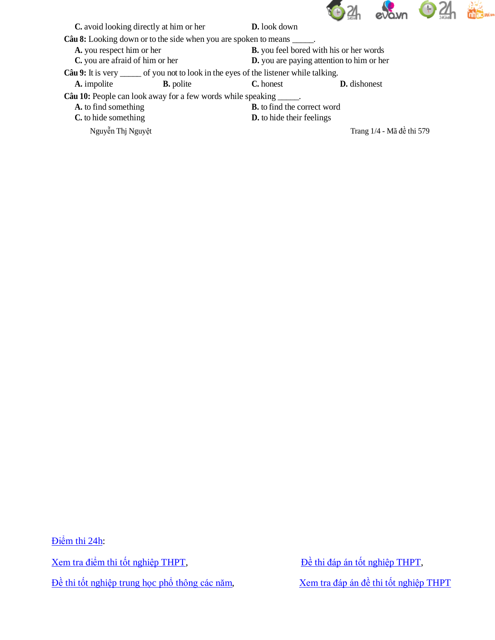

| C. avoid looking directly at him or her                                                | <b>D.</b> look down                |                           |  |
|----------------------------------------------------------------------------------------|------------------------------------|---------------------------|--|
| <b>Câu 8:</b> Looking down or to the side when you are spoken to means _____.          |                                    |                           |  |
| A. you respect him or her<br><b>B.</b> you feel bored with his or her words            |                                    |                           |  |
| C. you are afraid of him or her<br>D. you are paying attention to him or her           |                                    |                           |  |
| Câu 9: It is very ______ of you not to look in the eyes of the listener while talking. |                                    |                           |  |
| A. impolite<br><b>B.</b> polite                                                        | C. honest                          | <b>D.</b> dishonest       |  |
| <b>Câu 10:</b> People can look away for a few words while speaking _____.              |                                    |                           |  |
| A. to find something                                                                   | <b>B.</b> to find the correct word |                           |  |
| C. to hide something                                                                   | <b>D.</b> to hide their feelings   |                           |  |
| Nguyễn Thị Nguyệt                                                                      |                                    | Trang 1/4 - Mã đề thi 579 |  |

Điể[m thi 24h:](http://diemthi.24h.com.vn/dap-an-de-thi-thpt/)

[Xem tra điể](http://diemthi.24h.com.vn/diem-thi-tot-nghiep-thpt/)m thi tốt nghiệp THPT,<br> $\frac{\partial}{\partial t}$  [thi đáp án tố](http://diemthi.24h.com.vn/dap-an-de-thi-thpt/)t nghiệp THPT,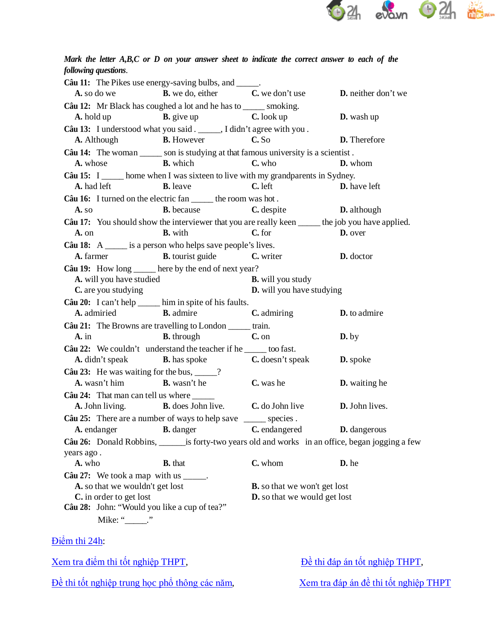

# Mark the letter A,B,C or D on your answer sheet to indicate the correct answer to each of the *following questions*.

| <b>Câu 11:</b> The Pikes use energy-saving bulbs, and ______.                                      |                                                                                        |                                                        |                       |
|----------------------------------------------------------------------------------------------------|----------------------------------------------------------------------------------------|--------------------------------------------------------|-----------------------|
| A. so do we                                                                                        | <b>B.</b> we do, either <b>C.</b> we don't use                                         |                                                        | D. neither don't we   |
| Câu 12: Mr Black has coughed a lot and he has to ______ smoking.                                   |                                                                                        |                                                        |                       |
|                                                                                                    | A. hold up <b>B.</b> give up <b>C.</b> look up                                         |                                                        | <b>D.</b> wash up     |
| Câu 13: I understood what you said . _____, I didn't agree with you .                              |                                                                                        |                                                        |                       |
|                                                                                                    | <b>A.</b> Although <b>B.</b> However <b>C.</b> So                                      |                                                        | D. Therefore          |
| Câu 14: The woman ______ son is studying at that famous university is a scientist.                 |                                                                                        |                                                        |                       |
| A. whose                                                                                           | <b>B.</b> which                                                                        | C. who                                                 | D. whom               |
| Câu 15: I ______ home when I was sixteen to live with my grandparents in Sydney.                   |                                                                                        |                                                        |                       |
|                                                                                                    | <b>A.</b> had left <b>B.</b> leave                                                     | C. left                                                | <b>D.</b> have left   |
| Câu 16: I turned on the electric fan ______ the room was hot.                                      |                                                                                        |                                                        |                       |
| A. so                                                                                              |                                                                                        | <b>B.</b> because <b>C.</b> despite <b>D.</b> although |                       |
| Câu 17: You should show the interviewer that you are really keen _____ the job you have applied.   |                                                                                        |                                                        |                       |
| A. on                                                                                              | <b>B.</b> with <b>C.</b> for                                                           |                                                        | D. over               |
| Câu 18: $A \_$ is a person who helps save people's lives.                                          |                                                                                        |                                                        |                       |
|                                                                                                    | <b>A.</b> farmer <b>B.</b> tourist guide <b>C.</b> writer                              |                                                        | D. doctor             |
| Câu 19: How long _____ here by the end of next year?                                               |                                                                                        |                                                        |                       |
| A. will you have studied                                                                           |                                                                                        | <b>B.</b> will you study                               |                       |
| C. are you studying                                                                                |                                                                                        | D. will you have studying                              |                       |
| Câu 20: I can't help _____ him in spite of his faults.                                             |                                                                                        |                                                        |                       |
|                                                                                                    | <b>A.</b> admiried <b>B.</b> admire <b>B.</b> admire <b>C.</b> admiring                |                                                        | D. to admire          |
| Câu 21: The Browns are travelling to London _____ train.                                           |                                                                                        |                                                        |                       |
| $A.$ in                                                                                            | <b>B.</b> through <b>C.</b> on                                                         |                                                        | $\mathbf{D}$ , by     |
| Câu 22: We couldn't understand the teacher if he _____ too fast.                                   |                                                                                        |                                                        |                       |
|                                                                                                    | <b>A.</b> didn't speak <b>B.</b> has spoke <b>C.</b> doesn't speak                     |                                                        | <b>D.</b> spoke       |
| Câu 23: He was waiting for the bus, $\frac{?}{?}$                                                  |                                                                                        |                                                        |                       |
| A. wasn't him B. wasn't he                                                                         |                                                                                        | C. was he                                              | <b>D.</b> waiting he  |
| Câu 24: That man can tell us where ______                                                          |                                                                                        |                                                        |                       |
|                                                                                                    | A. John living. B. does John live. C. do John live                                     |                                                        | <b>D.</b> John lives. |
| Câu 25: There are a number of ways to help save ______ species.                                    |                                                                                        |                                                        |                       |
|                                                                                                    | A. endanger <b>B.</b> danger <b>B.</b> danger <b>C.</b> endangered <b>D.</b> dangerous |                                                        |                       |
| Câu 26: Donald Robbins, _______ is forty-two years old and works in an office, began jogging a few |                                                                                        |                                                        |                       |
| years ago.                                                                                         |                                                                                        |                                                        |                       |
| A. who                                                                                             | <b>B.</b> that                                                                         | C. whom                                                | D. he                 |
| Câu 27: We took a map with us $\frac{1}{\sqrt{1-\frac{1}{n}}}}$ .                                  |                                                                                        |                                                        |                       |
| A. so that we wouldn't get lost                                                                    |                                                                                        | <b>B.</b> so that we won't get lost                    |                       |
| C. in order to get lost                                                                            |                                                                                        | <b>D.</b> so that we would get lost                    |                       |
| Câu 28: John: "Would you like a cup of tea?"                                                       |                                                                                        |                                                        |                       |
| Mike: "______."                                                                                    |                                                                                        |                                                        |                       |

Điể[m thi 24h:](http://diemthi.24h.com.vn/dap-an-de-thi-thpt/)

[Xem tra điể](http://diemthi.24h.com.vn/diem-thi-tot-nghiep-thpt/)m thi tốt nghiệp THPT,<br> $\frac{\partial}{\partial t}$  bề [thi đáp án tố](http://diemthi.24h.com.vn/dap-an-de-thi-thpt/)t nghiệp THPT,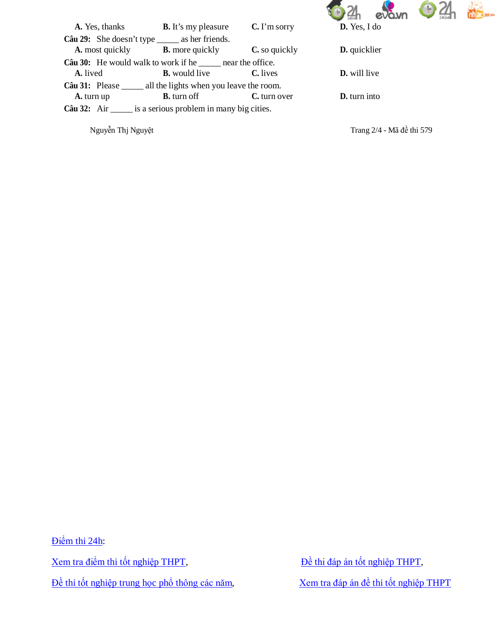

| A. Yes, thanks                                                           | <b>B.</b> It's my pleasure | $C.$ I'm sorry  | D. Yes, I do        |
|--------------------------------------------------------------------------|----------------------------|-----------------|---------------------|
| Câu 29: She doesn't type _______ as her friends.                         |                            |                 |                     |
| <b>A.</b> most quickly <b>B.</b> more quickly                            |                            | C. so quickly   | <b>D.</b> quicklier |
| <b>Câu 30:</b> He would walk to work if he <u>equal</u> near the office. |                            |                 |                     |
| A. lived                                                                 | <b>B.</b> would live       | <b>C.</b> lives | <b>D.</b> will live |
| Câu 31: Please _______ all the lights when you leave the room.           |                            |                 |                     |
| A. turn up                                                               | <b>B.</b> turn off         | C. turn over    | <b>D.</b> turn into |
| Câu 32: Air _______ is a serious problem in many big cities.             |                            |                 |                     |

Nguyễn Thj Nguyệt Trang 2/4 - Mã đề thi 579

Điể[m thi 24h:](http://diemthi.24h.com.vn/dap-an-de-thi-thpt/)

[Xem tra điể](http://diemthi.24h.com.vn/diem-thi-tot-nghiep-thpt/)m thi tốt nghiệp THPT,<br> $\frac{\partial}{\partial t}$  [thi đáp án tố](http://diemthi.24h.com.vn/dap-an-de-thi-thpt/)t nghiệp THPT,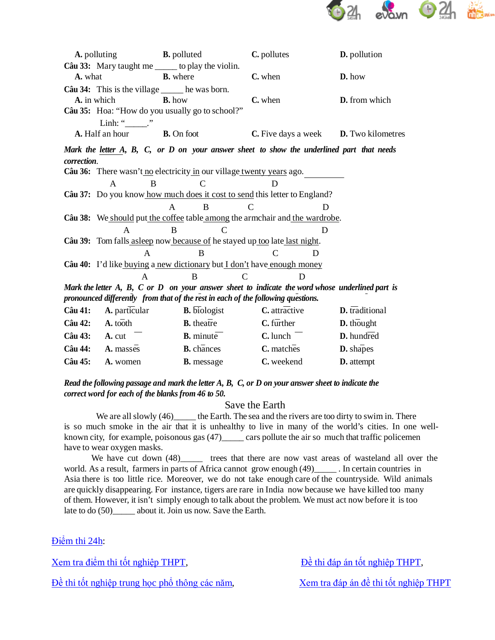

|                                                                                                 | <b>A.</b> polluting <b>B.</b> polluted   |                                                                                           | C. pollutes                                         | <b>D.</b> pollution                   |
|-------------------------------------------------------------------------------------------------|------------------------------------------|-------------------------------------------------------------------------------------------|-----------------------------------------------------|---------------------------------------|
|                                                                                                 |                                          | Câu 33: Mary taught me ______ to play the violin.                                         |                                                     |                                       |
| A. what                                                                                         |                                          | <b>B.</b> where                                                                           | C. when                                             | D. how                                |
|                                                                                                 |                                          | Câu 34: This is the village ______ he was born.                                           |                                                     |                                       |
|                                                                                                 | A. in which                              | <b>B.</b> how                                                                             | C. when                                             | D. from which                         |
|                                                                                                 |                                          | Câu 35: Hoa: "How do you usually go to school?"                                           |                                                     |                                       |
|                                                                                                 | Linh: " $\_\_$ "                         |                                                                                           |                                                     |                                       |
|                                                                                                 | <b>A.</b> Half an hour <b>B.</b> On foot |                                                                                           | <b>C.</b> Five days a week <b>D.</b> Two kilometres |                                       |
|                                                                                                 |                                          | Mark the letter A, B, C, or D on your answer sheet to show the underlined part that needs |                                                     |                                       |
| correction.                                                                                     |                                          |                                                                                           |                                                     |                                       |
|                                                                                                 |                                          | Câu 36: There wasn't no electricity in our village twenty years ago.                      |                                                     |                                       |
|                                                                                                 | B<br>$\mathsf{A}$                        | C                                                                                         |                                                     |                                       |
|                                                                                                 |                                          | Câu 37: Do you know how much does it cost to send this letter to England?                 |                                                     |                                       |
|                                                                                                 |                                          | $\mathsf{A}$<br>$\overline{B}$                                                            | $\mathcal{C}$                                       |                                       |
|                                                                                                 |                                          | Câu 38: We should put the coffee table among the armchair and the wardrobe.               |                                                     |                                       |
|                                                                                                 | $\mathsf{A}$                             | $\mathcal{C}$<br>B                                                                        | D                                                   |                                       |
|                                                                                                 |                                          | Câu 39: Tom falls as leep now because of he stayed up too late last night.                |                                                     |                                       |
|                                                                                                 | A                                        | B                                                                                         | $\mathcal{C}$<br>D                                  |                                       |
| Câu 40: I'd like buying a new dictionary but I don't have enough money                          |                                          |                                                                                           |                                                     |                                       |
|                                                                                                 | A                                        | $\mathbf C$<br>B                                                                          | D                                                   |                                       |
| Mark the letter A, B, C or D on your answer sheet to indicate the word whose underlined part is |                                          |                                                                                           |                                                     |                                       |
| pronounced differently from that of the rest in each of the following questions.                |                                          |                                                                                           |                                                     |                                       |
| Câu 41:                                                                                         | <b>A.</b> particular                     | $\overline{\mathbf{B}}$ . biologist                                                       | $C.$ attractive                                     | $\overline{\mathbf{D}}$ . traditional |
|                                                                                                 | Câu 42: $A.$ tooth                       | $B. the \overline{a}$                                                                     | $C.$ further                                        | D. thought                            |
|                                                                                                 | Câu 43: A. cut                           | $B. minute$                                                                               | $C.$ lunch $\overline{\phantom{a}}$                 | $D.$ hundred                          |
| Câu 44:                                                                                         | A. masses                                | <b>B.</b> chances                                                                         | C. matches                                          | D. shapes                             |

Read the following passage and mark the letter  $A$ ,  $B$ ,  $C$ , or  $D$  on your answer sheet to indicate the *correct word for each of the blanks from 46 to 50.*

**Câu 45: A.** women **B.** message **C.** weekend **D.** attempt

#### Save the Earth

We are all slowly (46)\_\_\_\_\_\_ the Earth. The sea and the rivers are too dirty to swim in. There is so much smoke in the air that it is unhealthy to live in many of the world's cities. In one wellknown city, for example, poisonous gas (47)\_\_\_\_\_ cars pollute the air so much that traffic policemen have to wear oxygen masks.

We have cut down (48)\_\_\_\_\_\_ trees that there are now vast areas of wasteland all over the world. As a result, farmers in parts of Africa cannot grow enough (49) linearch countries in Asia there is too little rice. Moreover, we do not take enough care of the countryside. Wild animals are quickly disappearing. For instance, tigers are rare in India now because we have killed too many of them. However, it isn't simply enough to talk about the problem. We must act now before it is too late to do  $(50)$  about it. Join us now. Save the Earth.

Điể[m thi 24h:](http://diemthi.24h.com.vn/dap-an-de-thi-thpt/)

[Xem tra điể](http://diemthi.24h.com.vn/diem-thi-tot-nghiep-thpt/)m thi tốt nghiệp THPT, Đề [thi đáp án tố](http://diemthi.24h.com.vn/dap-an-de-thi-thpt/)t nghiệp THPT,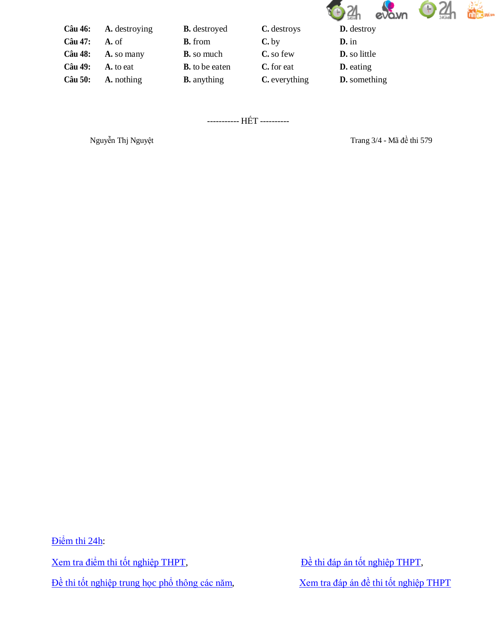

| A. destroying | <b>B.</b> destroyed   | C. destroys   | <b>D.</b> destroy   |
|---------------|-----------------------|---------------|---------------------|
| A. of         | <b>B.</b> from        | $C$ , by      | $\mathbf{D}$ , in   |
| A. so many    | <b>B.</b> so much     | C. so few     | <b>D.</b> so little |
| A. to eat     | <b>B.</b> to be eaten | C. for eat    | <b>D.</b> eating    |
| A. nothing    | <b>B.</b> anything    | C. everything | <b>D.</b> something |
|               |                       |               |                     |

----------- HẾT ----------

Nguyễn Thj Nguyệt Trang 3/4 - Mã đề thi 579

Điể[m thi 24h:](http://diemthi.24h.com.vn/dap-an-de-thi-thpt/)

[Xem tra điể](http://diemthi.24h.com.vn/diem-thi-tot-nghiep-thpt/)m thi tốt nghiệp THPT,<br> $\frac{\partial}{\partial t}$  [thi đáp án tố](http://diemthi.24h.com.vn/dap-an-de-thi-thpt/)t nghiệp THPT,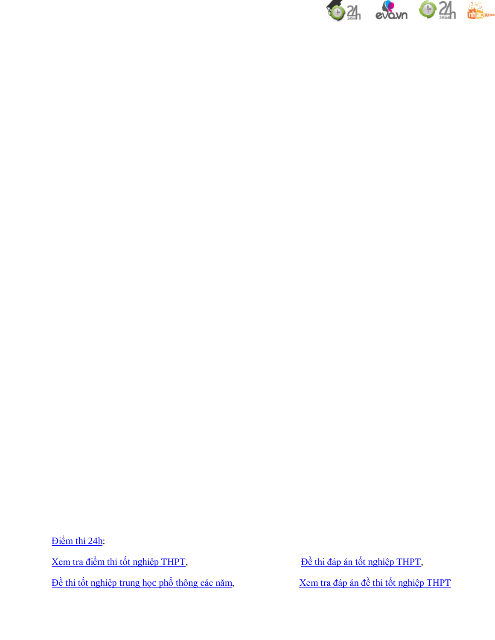

Điể[m thi 24h:](http://diemthi.24h.com.vn/dap-an-de-thi-thpt/)

[Xem tra điể](http://diemthi.24h.com.vn/diem-thi-tot-nghiep-thpt/)m thi tốt nghiệp THPT,<br> $\frac{\partial^2}{\partial t}$  bề [thi đáp án tố](http://diemthi.24h.com.vn/dap-an-de-thi-thpt/)t nghiệp THPT,